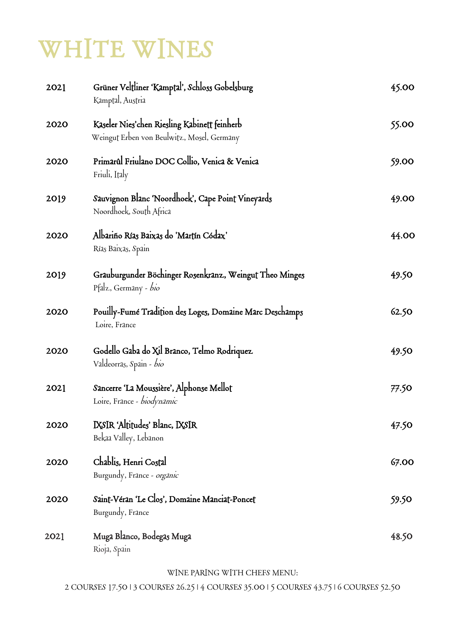## WHITE WINES

| 2021 | Grüner Veltliner 'Kamptal', Schloss Gobelsburg<br>Kamptal, Austria                         | 45.00 |
|------|--------------------------------------------------------------------------------------------|-------|
| 2020 | Kaseler Nies'chen Riesling Kabinett feinherb<br>Weingut Erben von Beulwitz, Mosel, Germany | 55.00 |
| 2020 | Primarûl Friulano DOC Collio, Venica & Venica<br>Friuli, Italy                             | 59.00 |
| 2019 | Sauvignon Blanc 'Noordhoek', Cape Point Vineyards<br>Noordhoek, South Africa               | 49.00 |
| 2020 | Albariño Rías Baixas do 'Martín Códax'<br>Rías Baixas, Spain                               | 44.00 |
| 2019 | Grauburgunder Böchinger Rosenkranz, Weingut Theo Minges<br>Pfalz, Germany - bio            | 49.50 |
| 2020 | Pouilly-Fume Tradition des Loges, Domaine Marc Deschamps<br>Loire, France                  | 62.50 |
| 2020 | Godello Gaba do Xil Branco, Telmo Rodriquez<br>Valdeorras, Spain - bio                     | 49.50 |
| 2021 | Sancerre 'La Moussière', Alphonse Mellot<br>Loire, France - biodynamic                     | 77.50 |
| 2020 | IXSIR 'Altitudes' Blanc, IXSIR<br>Bekaa Valley, Lebanon                                    | 47.50 |
| 2020 | Chablis, Henri Costal<br>Burgundy, France - organic                                        | 67.00 |
| 2020 | Saint-Véran 'Le Clos', Domaine Manciat-Poncet<br>Burgundy, France                          | 59.50 |
| 2021 | Muga Blanco, Bodegas Muga<br>Rioja, Spain                                                  | 48.50 |

WINE PARING WITH CHEFS MENU:

2 COURSES 17.50 | 3 COURSES 26.25 | 4 COURSES 35.00 | 5 COURSES 43.75 | 6 COURSES 52.50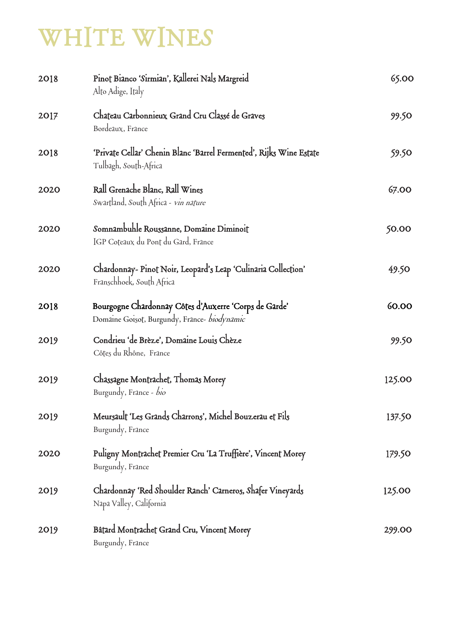## WHITE WINES

| 2018 | Pinot Bianco 'Sirmian', Kallerei Nals Margreid<br>Alto Adige, Italy                                   | 65.00  |
|------|-------------------------------------------------------------------------------------------------------|--------|
| 2017 | Chateau Carbonnieux Grand Cru Classé de Graves<br>Bordeaux, France                                    | 99.50  |
| 2018 | 'Private Cellar' Chenin Blanc 'Barrel Fermented', Rijks Wine Estate<br>Tulbagh, South-Africa          | 59.50  |
| 2020 | Rall Grenache Blanc, Rall Wines<br>Swartland, South Africa - <i>vin nature</i>                        | 67.00  |
| 2020 | Somnambuhle Roussanne, Domaine Diminoit<br>IGP Coteaux du Pont du Gard, France                        | 50.00  |
| 2020 | Chardonnay-Pinot Noir, Leopard's Leap 'Culinaria Collection'<br>Franschhoek, South Africa             | 49.50  |
| 2018 | Bourgogne Chardonnay Côtes d'Auxerre 'Corps de Garde'<br>Domaine Goisot, Burgundy, France- biodynamic | 60.00  |
| 2019 | Condrieu 'de Brèze', Domaine Louis Chèze<br>Côtes du Rhône, France                                    | 99.50  |
| 2019 | Chassagne Montrachet, Thomas Morey<br>Burgundy, France - bio                                          | 125.00 |
| 2019 | Meursault 'Les Grands Charrons', Michel Bouzerau et Fils<br>Burgundy, France                          | 137.50 |
| 2020 | Puligny Montrachet Premier Cru 'La Truffière', Vincent Morey<br>Burgundy, France                      | 179.50 |
| 2019 | Chardonnay 'Red Shoulder Ranch' Carneros, Shafer Vineyards<br>Napa Valley, California                 | 125.00 |
| 2019 | Bâtard Montrachet Grand Cru, Vincent Morey<br>Burgundy, France                                        | 299.00 |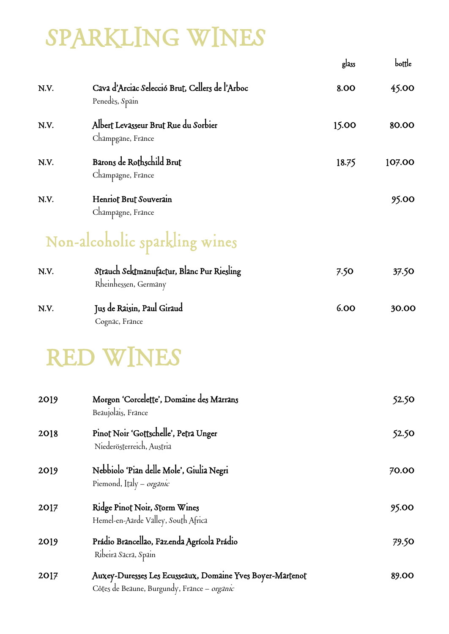## SPARKLING WINES

|      |                                                                                                          | glass | bottle |
|------|----------------------------------------------------------------------------------------------------------|-------|--------|
| N.V. | Cava d'Arciac Selecció Brut, Cellers de l'Arboc<br>Penedès, Spain                                        | 8.00  | 45.00  |
| N.V. | Albert Levasseur Brut Rue du Sorbier<br>Champgane, France                                                | 15.00 | 80.00  |
| N.V. | Barons de Rothschild Brut<br>Champagne, France                                                           | 18.75 | 107.00 |
| N.V. | Henriot Brut Souverain<br>Champagne, France                                                              |       | 95.00  |
|      | Non-alcoholic sparkling wines                                                                            |       |        |
| N.V. | Strauch Sektmanufactur, Blanc Pur Riesling<br>Rheinhessen, Germany                                       | 7.50  | 37.50  |
| N.V. | Jus de Raisin, Paul Giraud<br>Cognac, France                                                             | 6.00  | 30.00  |
|      | <b>RED WINES</b>                                                                                         |       |        |
| 2019 | Morgon 'Corcelette', Domaine des Marrans<br>Beaujolais, France                                           |       | 52.50  |
| 2018 | Pinot Noir 'Gottschelle', Petra Unger<br>Niederösterreich, Austria                                       |       | 52.50  |
| 2019 | Nebbiolo 'Pian delle Mole', Giulia Negri<br>Piemond, Italy – <i>organic</i>                              |       | 70.00  |
| 2017 | Ridge Pinot Noir, Storm Wines<br>Hemel-en-Aarde Valley, South Africa                                     |       | 95.00  |
| 2019 | Prádio Brancellao, Fazenda Agrícola Prádio<br>Ribeira Sacra, Spain                                       |       | 79.50  |
| 2017 | Auxey-Duresses Les Ecusseaux, Domaine Yves Boyer-Martenot<br>Côtes de Beaune, Burgundy, France - organic |       | 89.00  |